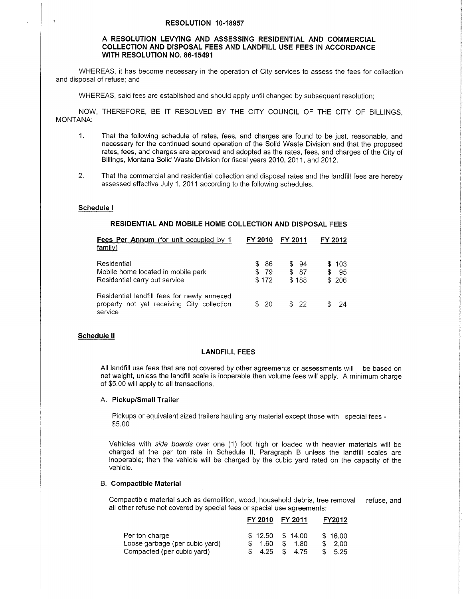#### RESOLUTION 10-18957

## A RESOLUTION LEVYING AND ASSESSING RESIDENTIAL AND COMMERCIAL COLLECTION AND DISPOSAL FEES AND LANDFILL USE FEES IN ACCORDANCE WITH RESOLUTION NO. 86-1549I

WHEREAS, it has become necessary in the operation of City services to assess the fees for collection and disposal of refuse; and

WHEREAS, said fees are established and should apply until changed by subsequent resolution;

NOW, THEREFORE, BE IT RESOLVED BY THE CITY COUNCIL OF THE CITY OF BILLINGS, MONTANA:

- 1. That the following schedule of rates, fees, and charges are found to be just, reasonable, and necessary for the continued sound operation of the Solid Waste Division and that the proposed rates, fees, and charges are approved and adopted as the rates, fees, and charges of the City of Billings, Montana Solid Waste Division for fiscal years 2010, 2011, and 2012.
- 2. That the commercial and residential collection and disoosal rates and the landfill fees are herebv assessed effective July 1, 2011 according to the following schedules.

#### Schedule <sup>I</sup>

### RESIDENTIAL AND MOBILE HOME COLLECTION AND DISPOSAL FEES

| <b>Fees Per Annum</b> (for unit occupied by 1<br>family)                                             | FY 2010                           | FY 2011                     | FY 2012                |
|------------------------------------------------------------------------------------------------------|-----------------------------------|-----------------------------|------------------------|
| Residential<br>Mobile home located in mobile park<br>Residential carry out service                   | -86<br>S.<br>- 79<br>\$.<br>\$172 | \$94<br>- 87<br>\$<br>\$188 | \$103<br>- 95<br>\$206 |
| Residential landfill fees for newly annexed<br>property not yet receiving City collection<br>service | \$ 20                             | \$22                        | - 24                   |

#### Schedule ll

#### LANDFILL FEES

All landfill use fees that are not covered by other agreements or assessments will be based on net weight, unless the landfill scale is inoperable then volume fees will apply. A minimum charge of \$5.00 will apply to all transactions.

#### A. Pickup/Small Trailer

Pickups or equivalent sized trailers hauling any material except those with special fees - \$5.00

Vehicles with side boards over one (1) foot high or loaded with heavier materials will be charged at the per ton rate in Schedule ll, Paragraph B unless the landfill scales are inoperable; then the vehicle will be charged by the cubic yard rated on the capacity of the vehicle.

## B. Compactible Material

Compactible material such as demolition, wood, household debris, tree removal refuse, and all other refuse not covered by special fees or special use agreements:

|                                                                                | FY 2010      | FY 2011                              | FY2012                   |  |
|--------------------------------------------------------------------------------|--------------|--------------------------------------|--------------------------|--|
| Per ton charge<br>Loose garbage (per cubic yard)<br>Compacted (per cubic yard) | 1.60<br>4.25 | $$12.50$ $$14.00$<br>1.80<br>\$ 4.75 | \$16.00<br>2.00<br>-5.25 |  |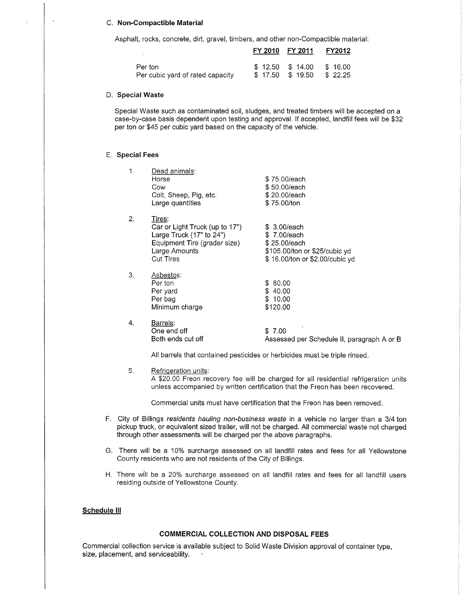### C. Non-Compactible Material

Asphalt, rocks, concrete, dirt, gravel, timbers, and other non-Compactible material:

|                                  | FY 2010 FY 2011 |                   | <b>FY2012</b> |
|----------------------------------|-----------------|-------------------|---------------|
| Per ton                          |                 | $$12.50$ $$14.00$ | \$16.00       |
| Per cubic yard of rated capacity |                 | \$17.50 \$19.50   | \$22.25       |

#### D. Special Waste

Special Waste such as contaminated soil, sludges, and treated timbers will be accepted on a case-by-case basis dependent upon testing and approval. lf accepted, landfill fees will be \$32 per ton or \$45 per cubic yard based on the capacity of the vehicle.

#### E. Special Fees

| 1. | Dead animals:<br>Horse<br>Cow<br>Colt, Sheep, Pig, etc.<br>Large quantities                                                                   | \$75,00/each<br>\$50.00/each<br>\$20.00/each<br>\$75.00/ton                                                    |
|----|-----------------------------------------------------------------------------------------------------------------------------------------------|----------------------------------------------------------------------------------------------------------------|
| 2. | Tires:<br>Car or Light Truck (up to 17")<br>Large Truck $(17"$ to $24")$<br>Equipment Tire (grader size)<br>Large Amounts<br><b>Cut Tires</b> | \$ 3.00/each<br>\$7.00/each<br>\$25.00/each<br>\$105.00/ton or \$25/cubic yd<br>\$16.00/ton or \$2.00/cubic yd |
| 3. | Asbestos:<br>Per ton<br>Per yard<br>Per bag<br>Minimum charge                                                                                 | \$ 80.00<br>\$40.00<br>\$10.00<br>\$120.00                                                                     |
| 4. | Barrels:<br>One end off<br>Both ends cut off                                                                                                  | \$7.00<br>Assessed per Schedule II, paragraph A or B                                                           |

All barrels that contained pesticides or herbicides must be triple rinsed.

# 5. Refriqeration units:

A \$20.00 Freon recovery fee will be charged for all residential refrigeration units unless accompanied by written certification that the Freon has been recovered.

Commercial units must have certification that the Freon has been removed.

- F. City of Billings residents hauling non-business waste in a vehicle no larger than a 3/4 ton pickup truck, or equivalent sized trailer, will not be charged. All commercial waste not charged through other assessments will be charged per the above paragraphs.
- G. There will be a 10% surcharge assessed on all landfill rates and fees for all Yellowstone County residents who are not residents of the City of Billings.
- H. There wíll be a 20% surcharge assessed on all landfill rates and fees for all landfill users residing outside of Yellowstone County.

## Schedule lll

## COMMERCIAL COLLECTION AND DISPOSAL FEES

Commercial collection service is available subject to Solid Waste Division approval of container type, size, placement, and serviceability.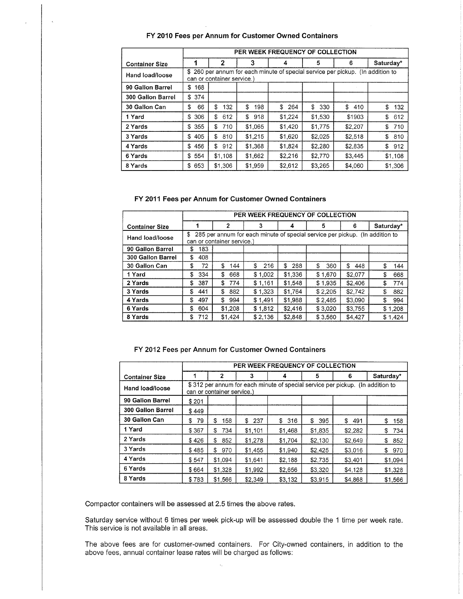## FY 2010 Fees per Annum for Customer Owned Containers

|                       |           | PER WEEK FREQUENCY OF COLLECTION |           |                                                                                 |           |           |           |
|-----------------------|-----------|----------------------------------|-----------|---------------------------------------------------------------------------------|-----------|-----------|-----------|
| <b>Container Size</b> |           | 2                                | 3         |                                                                                 | 5         | 6         | Saturday* |
| Hand load/loose       |           | can or container service.)       |           | \$ 260 per annum for each minute of special service per pickup. (In addition to |           |           |           |
| 90 Gallon Barrel      | 168<br>\$ |                                  |           |                                                                                 |           |           |           |
| 300 Gallon Barrel     | 374<br>\$ |                                  |           |                                                                                 |           |           |           |
| 30 Gallon Can         | \$<br>66  | \$<br>132                        | S<br>198  | \$<br>264                                                                       | \$<br>330 | \$<br>410 | \$<br>132 |
| 1 Yard                | 306<br>\$ | \$<br>612                        | \$<br>918 | \$1,224                                                                         | \$1,530   | \$1903    | \$<br>612 |
| 2 Yards               | 355<br>\$ | S<br>710                         | \$1,065   | \$1,420                                                                         | \$1,775   | \$2,207   | 710<br>\$ |
| 3 Yards               | 405<br>\$ | S<br>810                         | \$1,215   | \$1,620                                                                         | \$2,025   | \$2,518   | \$<br>810 |
| 4 Yards               | 456<br>\$ | \$<br>912                        | \$1,368   | \$1,824                                                                         | \$2,280   | \$2,835   | \$<br>912 |
| 6 Yards               | 554<br>\$ | \$1,108                          | \$1,662   | \$2,216                                                                         | \$2,770   | \$3,445   | \$1,108   |
| 8 Yards               | 653<br>\$ | \$1,306                          | \$1,959   | \$2,612                                                                         | \$3,265   | \$4,060   | \$1,306   |

### FY 2011 Fees per Annum for Customer Owned Containers

|                       |           | PER WEEK FREQUENCY OF COLLECTION |           |          |                                                                              |           |           |
|-----------------------|-----------|----------------------------------|-----------|----------|------------------------------------------------------------------------------|-----------|-----------|
| <b>Container Size</b> |           | 2                                | 3         |          | 5                                                                            | 6         | Saturday* |
| Hand load/loose       | S         | can or container service.)       |           |          | 285 per annum for each minute of special service per pickup. (In addition to |           |           |
| 90 Gallon Barrel      | 183<br>\$ |                                  |           |          |                                                                              |           |           |
| 300 Gallon Barrel     | 408<br>\$ |                                  |           |          |                                                                              |           |           |
| 30 Gallon Can         | 72<br>\$  | S<br>144                         | 216<br>\$ | S<br>288 | \$.<br>360                                                                   | \$<br>448 | \$<br>144 |
| 1 Yard                | \$<br>334 | \$<br>668                        | \$1,002   | \$1,336  | \$1,670                                                                      | \$2.077   | \$<br>668 |
| 2 Yards               | 387<br>S  | \$<br>774                        | \$1,161   | \$1,548  | \$1.935                                                                      | \$2,406   | 774<br>\$ |
| 3 Yards               | 441<br>\$ | 882<br>\$                        | \$1,323   | \$1,764  | \$2,205                                                                      | \$2.742   | \$<br>882 |
| 4 Yards               | 497<br>\$ | \$<br>994                        | \$1,491   | \$1,988  | \$2,485                                                                      | \$3,090   | \$<br>994 |
| 6 Yards               | \$<br>604 | \$1,208                          | \$1.812   | \$2,416  | \$3,020                                                                      | \$3,755   | \$1,208   |
| 8 Yards               | 712<br>S  | \$1,424                          | \$2,136   | \$2,848  | \$3,560                                                                      | \$4,427   | \$1,424   |

### FY 2012 Fees per Annum for Customer Owned Containers

|                          |          | PER WEEK FREQUENCY OF COLLECTION                                                                             |           |           |           |           |           |
|--------------------------|----------|--------------------------------------------------------------------------------------------------------------|-----------|-----------|-----------|-----------|-----------|
| <b>Container Size</b>    |          | 2                                                                                                            | 3         |           | 5         | 6         | Saturday* |
| Hand load/loose          |          | \$312 per annum for each minute of special service per pickup. (In addition to<br>can or container service.) |           |           |           |           |           |
| 90 Gallon Barrel         | \$201    |                                                                                                              |           |           |           |           |           |
| <b>300 Gallon Barrel</b> | \$449    |                                                                                                              |           |           |           |           |           |
| 30 Gallon Can            | \$<br>79 | S<br>158                                                                                                     | \$<br>237 | \$<br>316 | \$<br>395 | \$<br>491 | \$<br>158 |
| 1 Yard                   | \$367    | 734<br>\$                                                                                                    | \$1.101   | \$1,468   | \$1,835   | \$2,282   | S<br>734  |
| 2 Yards                  | \$426    | \$<br>852                                                                                                    | \$1,278   | \$1.704   | \$2,130   | \$2,649   | \$<br>852 |
| 3 Yards                  | \$485    | \$.<br>970                                                                                                   | \$1,455   | \$1,940   | \$2,425   | \$3,016   | S.<br>970 |
| 4 Yards                  | \$547    | \$1,094                                                                                                      | \$1.641   | \$2.188   | \$2.735   | \$3.401   | \$1,094   |
| 6 Yards                  | \$664    | \$1,328                                                                                                      | \$1,992   | \$2,656   | \$3,320   | \$4,128   | \$1,328   |
| 8 Yards                  | \$783    | \$1,566                                                                                                      | \$2,349   | \$3,132   | \$3,915   | \$4,868   | \$1,566   |

Compactor containers will be assessed at 2.5 times the above rates.

Saturday service without 6 times per week pick-up will be assessed double the 1 time per week rate. This service is not available in all areas.

The above fees are for customer-owned containers. For City-owned containers, in addition to the above fees, annual container lease rates will be charged as follows: